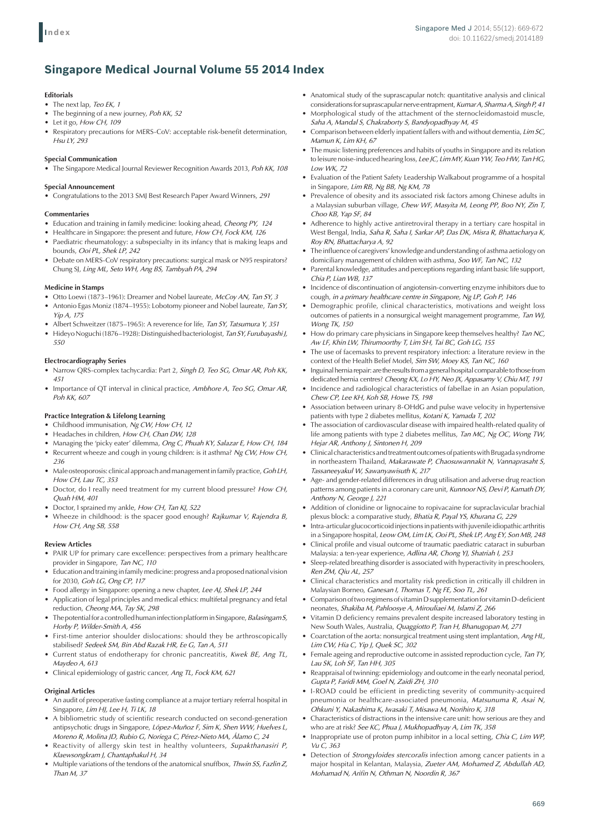# **Singapore Medical Journal Volume 55 2014 Index**

# **Editorials**

- • The next lap, *Teo EK, 1*
- The beginning of a new journey, Poh KK, 52
- Let it go, How CH, 109
- • Respiratory precautions for MERS-CoV: acceptable risk-benefit determination, *Hsu LY, 293*

# **Special Communication**

• The Singapore Medical Journal Reviewer Recognition Awards 2013, *Poh KK, 108*

# **Special Announcement**

• Congratulations to the 2013 SMJ Best Research Paper Award Winners, *291*

### **Commentaries**

- • Education and training in family medicine: looking ahead, *Cheong PY, 124*
- • Healthcare in Singapore: the present and future, *How CH, Fock KM, 126*
- Paediatric rheumatology: a subspecialty in its infancy that is making leaps and bounds, *Ooi PL, Shek LP, 242*
- Debate on MERS-CoV respiratory precautions: surgical mask or N95 respirators? Chung SJ, *Ling ML, Seto WH, Ang BS, Tambyah PA, 294*

### **Medicine in Stamps**

- • Otto Loewi (1873–1961): Dreamer and Nobel laureate, *McCoy AN, Tan SY, 3*
- Antonio Egas Moniz (1874–1955): Lobotomy pioneer and Nobel laureate, Tan SY, *Yip A, 175*
- Albert Schweitzer (1875–1965): A reverence for life, Tan SY, Tatsumura Y, 351
- • HideyoNoguchi (1876–1928):Distinguished bacteriologist, *Tan SY, Furubayashi J, 550*

# **Electrocardiography Series**

- • Narrow QRS-complex tachycardia: Part 2, *Singh D, Teo SG, Omar AR, Poh KK, 451*
- • Importance of QT interval in clinical practice, *Ambhore A, Teo SG, Omar AR, Poh KK, 607*

# **Practice Integration & Lifelong Learning**

- • Childhood immunisation, *Ng CW, How CH, 12*
- • Headaches in children, *How CH, Chan DW, 128*
- • Managing the 'picky eater' dilemma, *Ong C, Phuah KY, Salazar E, How CH, 184*  • Recurrent wheeze and cough in young children: is it asthma? Ng CW, How CH,
- *236* • Male osteoporosis: clinical approach and management in family practice, Goh LH,
- *How CH, Lau TC, 353*  Doctor, do I really need treatment for my current blood pressure? How CH,
- *Quah HM, 401*
- • Doctor, I sprained my ankle, *How CH, Tan KJ, 522*
- Wheeze in childhood: is the spacer good enough? *Rajkumar V, Rajendra B, How CH, Ang SB, 558*

# **Review Articles**

- PAIR UP for primary care excellence: perspectives from a primary healthcare provider in Singapore, *Tan NC, 110*
- Education and training in family medicine: progress and a proposed national vision for 2030, *Goh LG, Ong CP, 117*
- • Food allergy in Singapore: opening a new chapter, *Lee AJ, Shek LP, 244*
- Application of legal principles and medical ethics: multifetal pregnancy and fetal reduction, *Cheong MA, Tay SK, 298*
- The potential for a controlled human infection platform in Singapore, *Balasingam S*, *Horby P, Wilder-Smith A, 456*
- • First-time anterior shoulder dislocations: should they be arthroscopically stabilised? *Sedeek SM, Bin Abd Razak HR, Ee G, Tan A, 511*
- Current status of endotherapy for chronic pancreatitis, Kwek BE, Ang TL, *Maydeo A, 613*
- • Clinical epidemiology of gastric cancer, *Ang TL, Fock KM, 621*

# **Original Articles**

- An audit of preoperative fasting compliance at a major tertiary referral hospital in Singapore, *Lim HJ, Lee H, Ti LK, 18*
- • A bibliometric study of scientific research conducted on second-generation antipsychotic drugs in Singapore, *López-Muñoz F, Sim K, Shen WW, Huelves L, Moreno R, Molina JD, Rubio G, Noriega C, Pérez-Nieto MA, Álamo C, 24*
- • Reactivity of allergy skin test in healthy volunteers, *Supakthanasiri P, Klaewsongkram J, Chantaphakul H, 34*
- • Multiple variations of the tendons of the anatomical snuffbox, *Thwin SS, Fazlin Z, Than M, 37*
- $\bullet$  Anatomical study of the suprascapular notch: quantitative analysis and clinical considerationsforsuprascapularnerve entrapment, *Kumar A, Sharma A, SinghP, 41*
- Morphological study of the attachment of the sternocleidomastoid muscle, *Saha A, Mandal S, Chakraborty S, Bandyopadhyay M, 45*
- • Comparison between elderly inpatient fallers with and without dementia, *Lim SC, Mamun K, Lim KH, 67*
- The music listening preferences and habits of youths in Singapore and its relation to leisure noise-induced hearing loss, *Lee JC, Lim MY, Kuan YW, Teo HW, TanHG, Low WK, 72*
- Evaluation of the Patient Safety Leadership Walkabout programme of a hospital in Singapore, *Lim RB, Ng BB, Ng KM, 78*
- Prevalence of obesity and its associated risk factors among Chinese adults in a Malaysian suburban village, *Chew WF, Masyita M, Leong PP, Boo NY, Zin T, Choo KB, Yap SF, 84*
- • Adherence to highly active antiretroviral therapy in a tertiary care hospital in West Bengal, India, *Saha R, Saha I, Sarkar AP, Das DK, Misra R, Bhattacharya K, Roy RN, Bhattacharya A, 92*
- The influence of caregivers' knowledge and understanding of asthma aetiology on domiciliary management of children with asthma, *Soo WF, Tan NC, 132*
- Parental knowledge, attitudes and perceptions regarding infant basic life support, *Chia P, Lian WB, 137*
- Incidence of discontinuation of angiotensin-converting enzyme inhibitors due to cough, *in a primary healthcare centre in Singapore, Ng LP, Goh P, 146*
- • Demographic profile, clinical characteristics, motivations and weight loss outcomes of patients in a nonsurgical weight management programme, *Tan WJ, Wong TK, 150*
- How do primary care physicians in Singapore keep themselves healthy? *Tan NC*, *Aw LF, Khin LW, Thirumoorthy T, Lim SH, Tai BC, Goh LG, 155*
- The use of facemasks to prevent respiratory infection: a literature review in the context of the Health Belief Model, *Sim SW, Moey KS, Tan NC, 160*
- Inguinal hernia repair: are the results from a general hospital comparable to those from dedicated hernia centres? *Cheong KX, Lo HY, Neo JX, Appasamy V, Chiu MT, 191*
- Incidence and radiological characteristics of fabellae in an Asian population, *Chew CP, Lee KH, Koh SB, Howe TS, 198*
- Association between urinary 8-OHdG and pulse wave velocity in hypertensive patients with type 2 diabetes mellitus, *Kotani K, Yamada T, 202*
- The association of cardiovascular disease with impaired health-related quality of life among patients with type 2 diabetes mellitus, *Tan MC, Ng OC, Wong TW, Hejar AR, Anthony J, Sintonen H, 209*
- Clinical characteristics and treatment outcomes of patients with Brugada syndrome in northeastern Thailand, *Makarawate P, Chaosuwannakit N, Vannaprasaht S, Tassaneeyakul W, Sawanyawisuth K, 217*
- • Age- and gender-related differences in drug utilisation and adverse drug reaction patterns among patients in a coronary care unit, *Kunnoor NS, Devi P, Kamath DY*, *Anthony N, George J, 221*
- Addition of clonidine or lignocaine to ropivacaine for supraclavicular brachial plexus block: a comparative study, *Bhatia R, Payal YS, Khurana G, 229*
- intra-articular glucocorticoid injections in patients with juvenile idiopathic arthritis in a Singapore hospital, *Leow OM, Lim LK, Ooi PL, Shek LP, Ang EY, Son MB, 248*
- Clinical profile and visual outcome of traumatic paediatric cataract in suburban Malaysia: a ten-year experience, *Adlina AR, Chong YJ, Shatriah I, 253*
- • Sleep-related breathing disorder is associated with hyperactivity in preschoolers, *Ren ZM, Qiu AL, 257*
- Clinical characteristics and mortality risk prediction in critically ill children in Malaysian Borneo, *Ganesan I, Thomas T, Ng FE, Soo TL, 261*
- Comparison of two regimens of vitamin D supplementation for vitamin D-deficient neonates, *Shakiba M, Pahloosye A, Mirouliaei M, Islami Z, 266*
- Vitamin D deficiency remains prevalent despite increased laboratory testing in New South Wales, Australia, *Quaggiotto P, Tran H, Bhanugopan M, 271*
- Coarctation of the aorta: nonsurgical treatment using stent implantation, Ang HL, *Lim CW, Hia C, Yip J, Quek SC, 302*
- • Female ageing and reproductive outcome in assisted reproduction cycle, *Tan TY, Lau SK, Loh SF, Tan HH, 305*
- Reappraisal of twinning: epidemiology and outcome in the early neonatal period, *Gupta P, Faridi MM, Goel N, Zaidi ZH, 310*
- • I-ROAD could be efficient in predicting severity of community-acquired pneumonia or healthcare-associated pneumonia, *Matsunuma R, Asai N, Ohkuni Y, Nakashima K, Iwasaki T, Misawa M, Norihiro K, 318*
- Characteristics of distractions in the intensive care unit: how serious are they and who are at risk? *See KC, Phua J, Mukhopadhyay A, Lim TK, 358*
- Inappropriate use of proton pump inhibitor in a local setting, *Chia C, Lim WP*, *Vu C, 363*
- Detection of *Strongyloides stercoralis* infection among cancer patients in a major hospital in Kelantan, Malaysia, *Zueter AM, Mohamed Z, Abdullah AD, Mohamad N, Arifin N, Othman N, Noordin R, 367*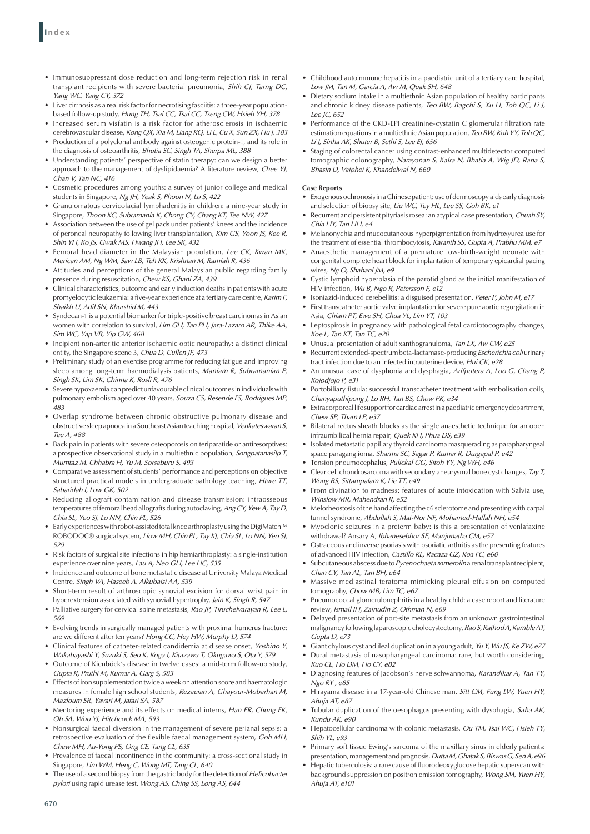- • Immunosuppressant dose reduction and long-term rejection risk in renal transplant recipients with severe bacterial pneumonia, *Shih CJ, Tarng DC, Yang WC, Yang CY, 372*
- Liver cirrhosis as a real risk factor for necrotising fasciitis: a three-year populationbased follow-up study, *Hung TH, Tsai CC, Tsai CC, Tseng CW, Hsieh YH, 378*
- Increased serum visfatin is a risk factor for atherosclerosis in ischaemic cerebrovascular disease, *Kong QX, Xia M, Liang RQ, Li L, Cu X, Sun ZX, Hu J, 383*
- Production of a polyclonal antibody against osteogenic protein-1, and its role in the diagnosis of osteoarthritis, *Bhutia SC, Singh TA, Sherpa ML, 388*
- Understanding patients' perspective of statin therapy: can we design a better approach to the management of dyslipidaemia? A literature review, *Chee YJ, Chan V, Tan NC, 416*
- • Cosmetic procedures among youths: a survey of junior college and medical students in Singapore, *Ng JH, Yeak S, Phoon N, Lo S, 422*
- Granulomatous cervicofacial lymphadenitis in children: a nine-year study in Singapore, *Thoon KC, Subramania K, Chong CY, Chang KT, Tee NW, 427*
- Association between the use of gel pads under patients' knees and the incidence of peroneal neuropathy following liver transplantation, *Kim GS, Yoon JS, Kee R, Shin YH, Ko JS, Gwak MS, Hwang JH, Lee SK, 432*
- Femoral head diameter in the Malaysian population, Lee CK, Kwan MK, *Merican AM, Ng WM, Saw LB, Teh KK, Krishnan M, Ramiah R, 436*
- Attitudes and perceptions of the general Malaysian public regarding family presence during resuscitation, *Chew KS, Ghani ZA, 439*
- Clinical characteristics, outcome and early induction deaths in patients with acute promyelocytic leukaemia: a five-year experience at a tertiary care centre, *Karim F, Shaikh U, Adil SN, Khurshid M, 443*
- Syndecan-1 is a potential biomarker for triple-positive breast carcinomas in Asian women with correlation to survival, *Lim GH, Tan PH, Jara-Lazaro AR, Thike AA, Sim WC, Yap VB, Yip GW, 468*
- • Incipient non-arteritic anterior ischaemic optic neuropathy: a distinct clinical entity, the Singapore scene 3, *Chua D, Cullen JF, 473*
- Preliminary study of an exercise programme for reducing fatigue and improving sleep among long-term haemodialysis patients, *Maniam R, Subramanian P, Singh SK, Lim SK, Chinna K, Rosli R, 476*
- Severe hypoxaemia can predict unfavourable clinical outcomes in individuals with pulmonary embolism aged over 40 years, *Souza CS, Resende FS, Rodrigues MP, 483*
- • Overlap syndrome between chronic obstructive pulmonary disease and obstructive sleepapnoea ina SoutheastAsianteachinghospital, *VenkateswaranS, Tee A, 488*
- Back pain in patients with severe osteoporosis on teriparatide or antiresorptives: a prospective observational study in a multiethnic population, *Songpatanasilp T, Mumtaz M, Chhabra H, Yu M, Sorsaburu S, 493*
- • Comparative assessment of students' performance and perceptions on objective structured practical models in undergraduate pathology teaching, *Htwe TT, Sabaridah I, Low GK, 502*
- • Reducing allograft contamination and disease transmission: intraosseous temperatures of femoral head allografts during autoclaving, *Ang CY, Yew A, TayD, Chia SL, Yeo SJ, Lo NN, Chin PL, 526*
- • Earlyexperienceswithrobot-assistedtotalkneearthroplastyusingtheDigiMatch™ ROBODOC® surgical system, *Liow MH, Chin PL, Tay KJ, Chia SL, Lo NN, Yeo SJ, 529*
- • Risk factors of surgical site infections in hip hemiarthroplasty: a single-institution experience over nine years, *Lau A, Neo GH, Lee HC, 535*
- Incidence and outcome of bone metastatic disease at University Malaya Medical Centre, *Singh VA, Haseeb A, Alkubaisi AA, 539*
- • Short-term result of arthroscopic synovial excision for dorsal wrist pain in hyperextension associated with synovial hypertrophy, *Jain K, Singh R, 547*
- • Palliative surgery for cervical spine metastasis, *Rao JP, Tiruchelvarayan R, Lee L, 569*
- • Evolving trends in surgically managed patients with proximal humerus fracture: are we different after ten years? *Hong CC, Hey HW, Murphy D, 574*
- • Clinical features of catheter-related candidemia at disease onset, *Yoshino Y, Wakabayashi Y, Suzuki S, Seo K, Koga I, Kitazawa T, Okugawa S, Ota Y, 579*
- Outcome of Kienböck's disease in twelve cases: a mid-term follow-up study, *Gupta R, Pruthi M, Kumar A, Garg S, 583*
- • Effects of iron supplementation twice aweek on attention score and haematologic measures in female high school students, *Rezaeian A, Ghayour-Mobarhan M, Mazloum SR, Yavari M, Jafari SA, 587*
- • Mentoring experience and its effects on medical interns, *Han ER, Chung EK, Oh SA, Woo YJ, Hitchcock MA, 593*
- Nonsurgical faecal diversion in the management of severe perianal sepsis: a retrospective evaluation of the flexible faecal management system, *Goh MH, Chew MH, Au-Yong PS, Ong CE, Tang CL, 635*
- Prevalence of faecal incontinence in the community: a cross-sectional study in Singapore, *Lim WM, Heng C, Wong MT, Tang CL, 640*
- • The use of a second biopsy from the gastric body forthe detection of *Helicobacter pylori* using rapid urease test, *Wong AS, Ching SS, Long AS, 644*
- • Childhood autoimmune hepatitis in a paediatric unit of a tertiary care hospital, *Low JM, Tan M, Garcia A, Aw M, Quak SH, 648*
- Dietary sodium intake in a multiethnic Asian population of healthy participants and chronic kidney disease patients, *Teo BW, Bagchi S, Xu H, Toh QC, Li J, Lee JC, 652*
- • Performance of the CKD-EPI creatinine-cystatin C glomerular filtration rate estimation equations in a multiethnic Asian population, Teo BW, Koh YY, Toh QC, *Li J, Sinha AK, Shuter B, Sethi S, Lee EJ, 656*
- Staging of colorectal cancer using contrast-enhanced multidetector computed tomographic colonography, *Narayanan S, Kalra N, Bhatia A, Wig JD, Rana S, Bhasin D, Vaiphei K, Khandelwal N, 660*

# **Case Reports**

- Exogenous ochronosis in a Chinese patient: use of dermoscopy aids early diagnosis and selection of biopsy site, *Liu WC, Tey HL, Lee SS, Goh BK, e1*
- • Recurrent and persistent pityriasisrosea: an atypical case presentation, *Chuah SY, Chia HY, Tan HH, e4*
- Melanonychia and mucocutaneous hyperpigmentation from hydroxyurea use for the treatment of essential thrombocytosis, *Karanth SS, Gupta A, Prabhu MM, e7*
- • Anaesthetic management of a premature low-birth-weight neonate with congenital complete heart block for implantation of temporary epicardial pacing wires, *Ng O, Shahani JM, e9*
- • Cystic lymphoid hyperplasia of the parotid gland as the initial manifestation of HIV infection, *Wu B, Ngo R, Petersson F, e12*
- Isoniazid-induced cerebellitis: a disguised presentation, Peter P, John M, e17
- First transcatheter aortic valve implantation for severe pure aortic regurgitation in Asia, *Chiam PT, Ewe SH, Chua YL, Lim YT, 103*
- Leptospirosis in pregnancy with pathological fetal cardiotocography changes, *Koe L, Tan KT, Tan TC, e20*
- Unusual presentation of adult xanthogranuloma, Tan LX, Aw CW, e25
- • Recurrent extended-spectrumbeta-lactamase-producing *Escherichia coli* urinary tract infection due to an infected intrauterine device, *Hui CK, e28*
- An unusual case of dysphonia and dysphagia, Arifputera A, Loo G, Chang P, *Kojodjojo P, e31*
- Portobiliary fistula: successful transcatheter treatment with embolisation coils, *Chanyaputhipong J, Lo RH, Tan BS, Chow PK, e34*
- • Extracorporeallifesupportforcardiacarrestinapaediatricemergencydepartment, *Chew SP, Tham LP, e37*
- • Bilateral rectus sheath blocks as the single anaesthetic technique for an open infraumbilical hernia repair, *Quek KH, Phua DS, e39*
- Isolated metastatic papillary thyroid carcinoma masquerading as parapharyngeal space paraganglioma, *Sharma SC, Sagar P, Kumar R, Durgapal P, e42*
- • Tension pneumocephalus, *Pulickal GG, Sitoh YY, Ng WH, e46*
- Clear cell chondrosarcoma with secondary aneurysmal bone cyst changes, Tay T, *Wong BS, Sittampalam K, Lie TT, e49*
- From divination to madness: features of acute intoxication with Salvia use, *Winslow MR, Mahendran R, e52*
- Melorheostosis of the hand affecting the c6 sclerotome and presenting with carpal tunnel syndrome, *Abdullah S, Mat-Nor NF, Mohamed-Haflah NH, e54*
- • Myoclonic seizures in a preterm baby: is this a presentation of venlafaxine withdrawal? Ansary A, *Ibhanesebhor SE, Manjunatha CM, e57*
- Ostraceous and inverse psoriasis with psoriatic arthritis as the presenting features of advanced HIV infection, *Castillo RL, Racaza GZ, Roa FC, e60*
- Subcutaneous abscess due to *Pyrenochaeta romeroiin* a renal transplant recipient, *Chan CY, Tan AL, Tan BH, e64*
- • Massive mediastinal teratoma mimicking pleural effusion on computed tomography, *Chow MB, Lim TC, e67*
- Pneumococcal glomerulonephritis in a healthy child: a case report and literature review, *Ismail IH, Zainudin Z, Othman N, e69*
- • Delayed presentation of port-site metastasis from an unknown gastrointestinal malignancy following laparoscopic cholecystectomy, *Rao S, Rathod A, KambleAT, Gupta D, e73*
- • Giant chylous cyst and ileal duplication in a young adult, *Yu Y, Wu JS, Ke ZW, e77*
- • Dural metastasis of nasopharyngeal carcinoma: rare, but worth considering, *Kuo CL, Ho DM, Ho CY, e82*
- Diagnosing features of Jacobson's nerve schwannoma, Karandikar A, Tan TY, *Ngo RY , e85*
- Hirayama disease in a 17-year-old Chinese man, Sitt CM, Fung LW, Yuen HY, *Ahuja AT, e87*
- Tubular duplication of the oesophagus presenting with dysphagia, Saha AK, *Kundu AK, e90*
- Hepatocellular carcinoma with colonic metastasis, Ou TM, Tsai WC, Hsieh TY, *Shih YL, e93*
- • Primary soft tissue Ewing's sarcoma of the maxillary sinus in elderly patients: presentation,managementandprognosis, *Dutta M, Ghatak S, Biswas G, SenA,e96*
- Hepatic tuberculosis: a rare cause of fluorodeoxyglucose hepatic superscan with background suppression on positron emission tomography, *Wong SM, Yuen HY, Ahuja AT, e101*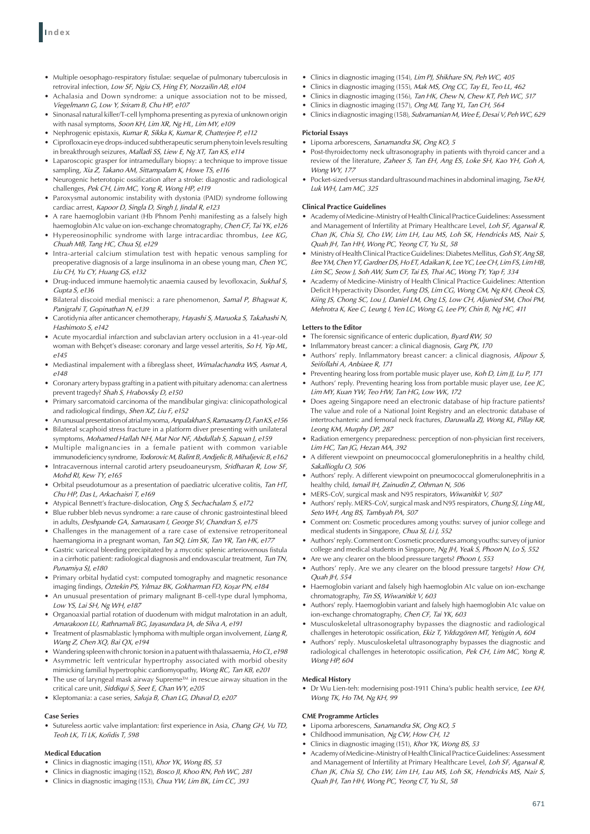- • Multiple oesophago-respiratory fistulae: sequelae of pulmonary tuberculosis in retroviral infection, *Low SF, Ngiu CS, Hing EY, Norzailin AB, e104*
- • Achalasia and Down syndrome: a unique association not to be missed, *Viegelmann G, Low Y, Sriram B, Chu HP, e107*
- • Sinonasal natural killer/T-cell lymphoma presenting as pyrexia of unknown origin with nasal symptoms, *Soon KH, Lim XR, Ng HL, Lim MY, e109*
- • Nephrogenic epistaxis, *Kumar R, Sikka K, Kumar R, Chatterjee P, e112*
- Ciprofloxacin eye drops-induced subtherapeutic serum phenytoin levels resulting in breakthrough seizures, *Malladi SS, Liew E, Ng XT, Tan KS, e114*
- Laparoscopic grasper for intramedullary biopsy: a technique to improve tissue sampling, *Xia Z, Takano AM, Sittampalam K, Howe TS, e116*
- Neurogenic heterotopic ossification after a stroke: diagnostic and radiological challenges, *Pek CH, Lim MC, Yong R, Wong HP, e119*
- Paroxysmal autonomic instability with dystonia (PAID) syndrome following cardiac arrest, *Kapoor D, Singla D, Singh J, Jindal R, e123*
- A rare haemoglobin variant (Hb Phnom Penh) manifesting as a falsely high haemoglobin A1c value on ion-exchange chromatography, *Chen CF, Tai YK, e126*
- • Hypereosinophilic syndrome with large intracardiac thrombus, *Lee KG, Chuah MB, Tang HC, Chua SJ, e129*
- • Intra-arterial calcium stimulation test with hepatic venous sampling for preoperative diagnosis of a large insulinoma in an obese young man, *Chen YC, Liu CH, Yu CY, Huang GS, e132*
- • Drug-induced immune haemolytic anaemia caused by levofloxacin, *Sukhal S, Gupta S, e136*
- Bilateral discoid medial menisci: a rare phenomenon, Samal P, Bhagwat K, *Panigrahi T, Gopinathan N, e139*
- • Carotidynia after anticancer chemotherapy, *Hayashi S, Maruoka S, Takahashi N, Hashimoto S, e142*
- Acute myocardial infarction and subclavian artery occlusion in a 41-year-old woman with Behçet's disease: coronary and large vessel arteritis, *So H, Yip ML, e145*
- Mediastinal impalement with a fibreglass sheet, *Wimalachandra WS, Asmat A*, *e148*
- • Coronary artery bypass grafting in a patient with pituitary adenoma: can alertness prevent tragedy? *Shah S, Hrabovsky D, e150*
- • Primary sarcomatoid carcinoma of the mandibular gingiva: clinicopathological and radiological findings, *Shen XZ, Liu F, e152*
- • Anunusualpresentationofatrialmyxoma, *Anpalakhan S, Ramasamy D, FanKS, e156*
- • Bilateral scaphoid stress fracture in a platform diver presenting with unilateral symptoms, *Mohamed Haflah NH, Mat Nor NF, Abdullah S, Sapuan J, e159*
- Multiple malignancies in a female patient with common variable immunodeficiency syndrome, *Todorovic M, Balint B, Andjelic B, Mihaljevic B, e162*
- Intracavernous internal carotid artery pseudoaneurysm, *Sridharan R, Low SF*, *Mohd RI, Kew TY, e165*
- • Orbital pseudotumour as a presentation of paediatric ulcerative colitis, *Tan HT, Chu HP, Das L, Arkachaisri T, e169*
- • Atypical Bennett's fracture-dislocation, *Ong S, Sechachalam S, e172*
- • Blue rubber bleb nevus syndrome: a rare cause of chronic gastrointestinal bleed in adults, *Deshpande GA, Samarasam I, George SV, Chandran S, e175*
- Challenges in the management of a rare case of extensive retroperitoneal haemangioma in a pregnant woman, *Tan SQ, Lim SK, Tan YR, Tan HK, e177*
- • Gastric variceal bleeding precipitated by a mycotic splenic arteriovenous fistula in a cirrhotic patient: radiological diagnosis and endovascular treatment, *Tun TN, Punamiya SJ, e180*
- • Primary orbital hydatid cyst: computed tomography and magnetic resonance imaging findings, *Öztekin PS, Yılmaz BK, Gokharman FD, Koşar PN, e184*
- • An unusual presentation of primary malignant B-cell-type dural lymphoma, *Low YS, Lai SH, Ng WH, e187*
- Organoaxial partial rotation of duodenum with midgut malrotation in an adult, *Amarakoon LU, Rathnamali BG, Jayasundara JA, de Silva A, e191*
- Treatment of plasmablastic lymphoma with multiple organ involvement, Liang R, *Wang Z, Chen XQ, Bai QX, e194*
- Wandering spleen with chronic torsion in a patuent with thalassaemia, Ho CL, e198
- Asymmetric left ventricular hypertrophy associated with morbid obesity mimicking familial hypertrophic cardiomyopathy, *Wong RC, Tan KB, e201*
- The use of laryngeal mask airway Supreme™ in rescue airway situation in the critical care unit, *Siddiqui S, Seet E, Chan WY, e205*
- • Kleptomania: a case series, *Saluja B, Chan LG, Dhaval D, e207*

# **Case Series**

Sutureless aortic valve implantation: first experience in Asia, *Chang GH, Vu TD*, *Teoh LK, Ti LK, Kofidis T, 598*

# **Medical Education**

- • Clinics in diagnostic imaging (151), *Khor YK, Wong BS, 53*
- • Clinics in diagnostic imaging (152), *Bosco JI, Khoo RN, Peh WC, 281*
- • Clinics in diagnostic imaging (153), *Chua YW, Lim BK, Lim CC, 393*
- • Clinics in diagnostic imaging (154), *Lim PJ, Shikhare SN, Peh WC, 405*
- • Clinics in diagnostic imaging (155), *Mak MS, Ong CC, Tay EL, Teo LL, 462*
- • Clinics in diagnostic imaging (156), *Tan HK, Chew N, Chew KT, Peh WC, 517*
- Clinics in diagnostic imaging (157), *Ong MJ, Tang YL, Tan CH, 564*
- • Clinicsin diagnostic imaging (158), *Subramanian M, Wee E, Desai V, Peh WC, 629*

### **Pictorial Essays**

- • Lipoma arborescens, *Sanamandra SK, Ong KO, 5*
- • Post-thyroidectomy neck ultrasonography in patients with thyroid cancer and a review of the literature, *Zaheer S, Tan EH, Ang ES, Loke SH, Kao YH, Goh A, Wong WY, 177*
- Pocket-sized versus standard ultrasound machines in abdominal imaging, Tse KH, *Luk WH, Lam MC, 325*

# **Clinical Practice Guidelines**

- Academy of Medicine-Ministry of Health Clinical Practice Guidelines: Assessment and Management of Infertility at Primary Healthcare Level, *Loh SF, Agarwal R, Chan JK, Chia SJ, Cho LW, Lim LH, Lau MS, Loh SK, Hendricks MS, Nair S, Quah JH, Tan HH, Wong PC, Yeong CT, Yu SL, 58*
- • Ministry ofHealthClinical PracticeGuidelines:DiabetesMellitus, *Goh SY, Ang SB, Bee YM, Chen YT, Gardner DS, Ho ET, Adaikan K, Lee YC, Lee CH, Lim FS, Lim HB, Lim SC, Seow J, Soh AW, Sum CF, Tai ES, Thai AC, Wong TY, Yap F, 334*
- Academy of Medicine-Ministry of Health Clinical Practice Guidelines: Attention Deficit Hyperactivity Disorder, *Fung DS, Lim CG, Wong CM, Ng KH, Cheok CS, Kiing JS, Chong SC, Lou J, Daniel LM, Ong LS, Low CH, Aljunied SM, Choi PM, Mehrotra K, Kee C, Leung I, Yen LC, Wong G, Lee PY, Chin B, Ng HC, 411*

# **Letters to the Editor**

- The forensic significance of enteric duplication, *Byard RW, 50*
- • Inflammatory breast cancer: a clinical diagnosis, *Garg PK, 170*
- Authors' reply. Inflammatory breast cancer: a clinical diagnosis, Alipour S, *Seifollahi A, Anbiaee R, 171*
- • Preventing hearing loss from portable music player use, *Koh D, Lim JJ, Lu P, 171*
- Authors' reply. Preventing hearing loss from portable music player use, Lee JC, *Lim MY, Kuan YW, Teo HW, Tan HG, Low WK, 172*
- • Does ageing Singapore need an electronic database of hip fracture patients? The value and role of a National Joint Registry and an electronic database of intertrochanteric and femoral neck fractures, *Daruwalla ZJ, Wong KL, Pillay KR, Leong KM, Murphy DP, 287*
- Radiation emergency preparedness: perception of non-physician first receivers, *Lim HC, Tan JG, Hezan MA, 392*
- A different viewpoint on pneumococcal glomerulonephritis in a healthy child, *Sakallioglu O, 506*
- Authors' reply. A different viewpoint on pneumococcal glomerulonephritis in a healthy child, *Ismail IH, Zainudin Z, Othman N, 506*
- • MERS-CoV, surgical mask and N95 respirators, *Wiwanitkit V, 507*
- Authors' reply. MERS-CoV, surgical mask and N95 respirators, *Chung SJ, Ling ML, Seto WH, Ang BS, Tambyah PA, 507*
- Comment on: Cosmetic procedures among youths: survey of junior college and medical students in Singapore, *Chua SJ, Li J, 552*
- Authors' reply. Comment on: Cosmetic procedures among youths: survey of junior college and medical students in Singapore, *Ng JH, Yeak S, Phoon N, Lo S, 552*
- • Are we any clearer on the blood pressure targets? *Phoon I, 553*
- Authors' reply. Are we any clearer on the blood pressure targets? How CH, *Quah JH, 554*
- Haemoglobin variant and falsely high haemoglobin A1c value on ion-exchange chromatography, *Tin SS, Wiwanitkit V, 603*
- Authors' reply. Haemoglobin variant and falsely high haemoglobin A1c value on ion-exchange chromatography, *Chen CF, Tai YK, 603*
- Musculoskeletal ultrasonography bypasses the diagnostic and radiological challenges in heterotopic ossification, *Ekiz T, Yıldızgören MT, Yetişgin A, 604*
- Authors' reply. Musculoskeletal ultrasonography bypasses the diagnostic and radiological challenges in heterotopic ossification, *Pek CH, Lim MC, Yong R, Wong HP, 604*

# **Medical History**

• Dr Wu Lien-teh: modernising post-1911 China's public health service, Lee KH, *Wong TK, Ho TM, Ng KH, 99*

### **CME Programme Articles**

- Lipoma arborescens, Sanamandra SK, Ong KO, 5
- Childhood immunisation, Ng CW, How CH, 12
- • Clinics in diagnostic imaging (151), *Khor YK, Wong BS, 53*
- Academy of Medicine-Ministry of Health Clinical Practice Guidelines: Assessment and Management of Infertility at Primary Healthcare Level, *Loh SF, Agarwal R, Chan JK, Chia SJ, Cho LW, Lim LH, Lau MS, Loh SK, Hendricks MS, Nair S, Quah JH, Tan HH, Wong PC, Yeong CT, Yu SL, 58*